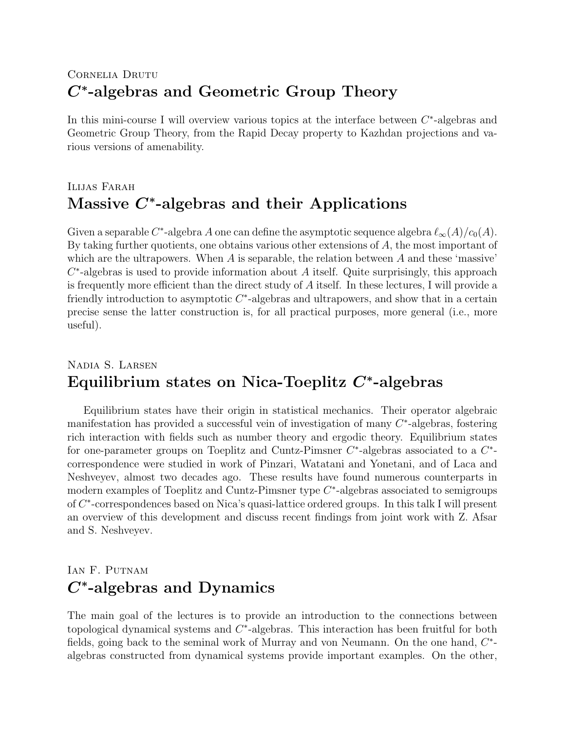## CORNELIA DRUTU C<sup>∗</sup> -algebras and Geometric Group Theory

In this mini-course I will overview various topics at the interface between  $C^*$ -algebras and Geometric Group Theory, from the Rapid Decay property to Kazhdan projections and various versions of amenability.

## Ilijas Farah Massive  $C^*$ -algebras and their Applications

Given a separable C<sup>\*</sup>-algebra A one can define the asymptotic sequence algebra  $\ell_{\infty}(A)/c_0(A)$ . By taking further quotients, one obtains various other extensions of  $A$ , the most important of which are the ultrapowers. When  $A$  is separable, the relation between  $A$  and these 'massive'  $C^*$ -algebras is used to provide information about A itself. Quite surprisingly, this approach is frequently more efficient than the direct study of  $A$  itself. In these lectures, I will provide a friendly introduction to asymptotic  $C^*$ -algebras and ultrapowers, and show that in a certain precise sense the latter construction is, for all practical purposes, more general (i.e., more useful).

## Nadia S. Larsen Equilibrium states on Nica-Toeplitz  $C^*$ -algebras

Equilibrium states have their origin in statistical mechanics. Their operator algebraic manifestation has provided a successful vein of investigation of many  $C^*$ -algebras, fostering rich interaction with fields such as number theory and ergodic theory. Equilibrium states for one-parameter groups on Toeplitz and Cuntz-Pimsner  $C^*$ -algebras associated to a  $C^*$ correspondence were studied in work of Pinzari, Watatani and Yonetani, and of Laca and Neshveyev, almost two decades ago. These results have found numerous counterparts in modern examples of Toeplitz and Cuntz-Pimsner type  $C^*$ -algebras associated to semigroups of C<sup>\*</sup>-correspondences based on Nica's quasi-lattice ordered groups. In this talk I will present an overview of this development and discuss recent findings from joint work with Z. Afsar and S. Neshveyev.

## IAN F. PUTNAM  $C^*$ -algebras and Dynamics

The main goal of the lectures is to provide an introduction to the connections between topological dynamical systems and  $C^*$ -algebras. This interaction has been fruitful for both fields, going back to the seminal work of Murray and von Neumann. On the one hand,  $C^*$ algebras constructed from dynamical systems provide important examples. On the other,